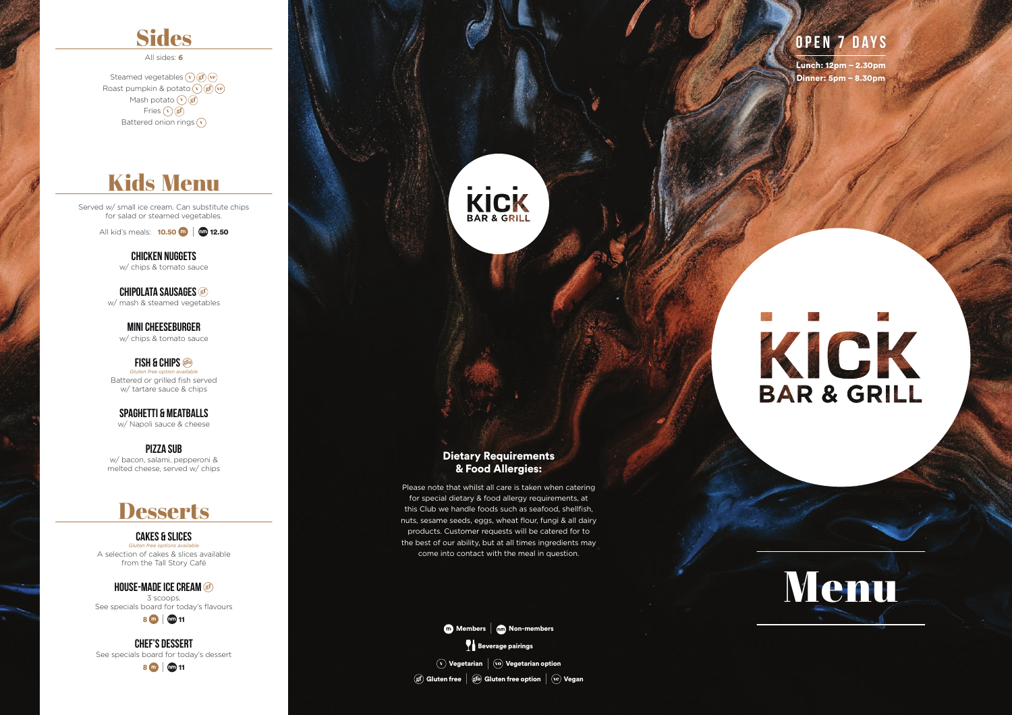## **Sides**

All sides: 6

Steamed vegetables  $\widehat{\mathbf{v}}(\mathbf{g}\mathbf{f})(\widehat{\mathbf{v}}\mathbf{e})$ Roast pumpkin & potato  $\widehat{(\mathbf{v})}(\widehat{\mathbf{gf}})(\widehat{\mathbf{ve}})$ Mash potato  $\widehat{(\mathbf{v})}(\widehat{\mathbf{gf}})$ Fries  $\widehat{\mathbf{v}}$  gf Battered onion rings  $\widehat{\mathbf{v}}$ 

Served w/ small ice cream. Can substitute chips for salad or steamed vegetables.

All kid's meals: 10.50|12.50

**Chicken Nuggets** w/ chips & tomato sauce

**Chipolata sausages** gf w/ mash & steamed vegetables

**Mini Cheeseburger** w/ chips & tomato sauce

**Fish & Chips** gfo *Gluten free option available* Battered or grilled fish served w/ tartare sauce & chips

**Spaghetti & Meatballs** w/ Napoli sauce & cheese

**Pizza sub** w/ bacon, salami, pepperoni & melted cheese, served w/ chips

## **Desserts**

#### **Cakes & slices**

*Gluten free options available* A selection of cakes & slices available from the Tall Story Café

**house-made ice cream** gf 3 scoops. See specials board for today's flavours

 $8$   $\omega$  |  $\omega$  11

**Chef's dessert** See specials board for today's dessert





## Kids Menu



## **Open 7 Days**

Lunch: 12pm – 2.30pm Dinner: 5pm – 8.30pm

# **BAR & GRILL**

#### Dietary Requirements & Food Allergies:

Please note that whilst all care is taken when catering for special dietary & food allergy requirements, at this Club we handle foods such as seafood, shellfish, nuts, sesame seeds, eggs, wheat flour, fungi & all dairy products. Customer requests will be catered for to the best of our ability, but at all times ingredients may come into contact with the meal in question.



 $(v)$  Vegetarian  $|v\rangle$  Vegetarian option  $\phi$  Gluten free  $\phi$  (gfo) Gluten free option  $\phi$  (ve) Vegan